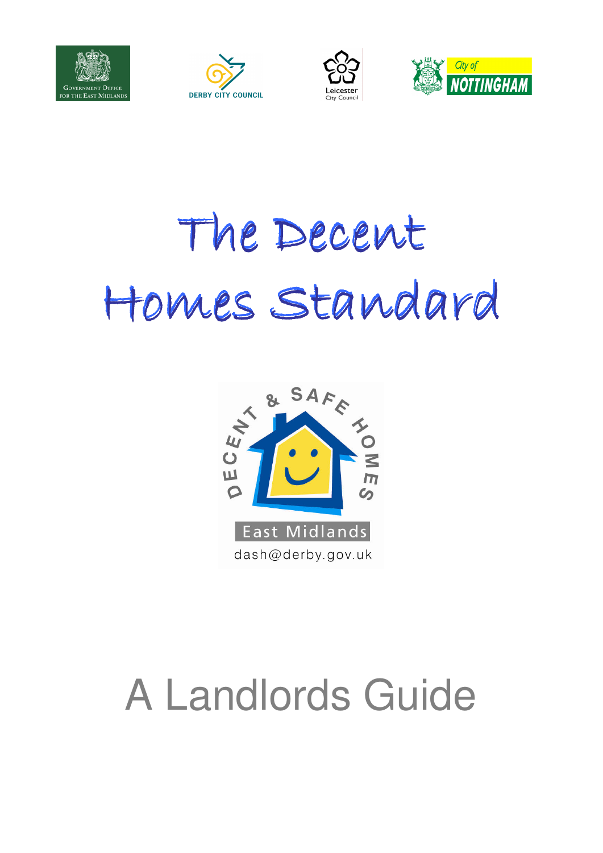







# The Decent Homes Standard Homes Standard



### A Landlords Guide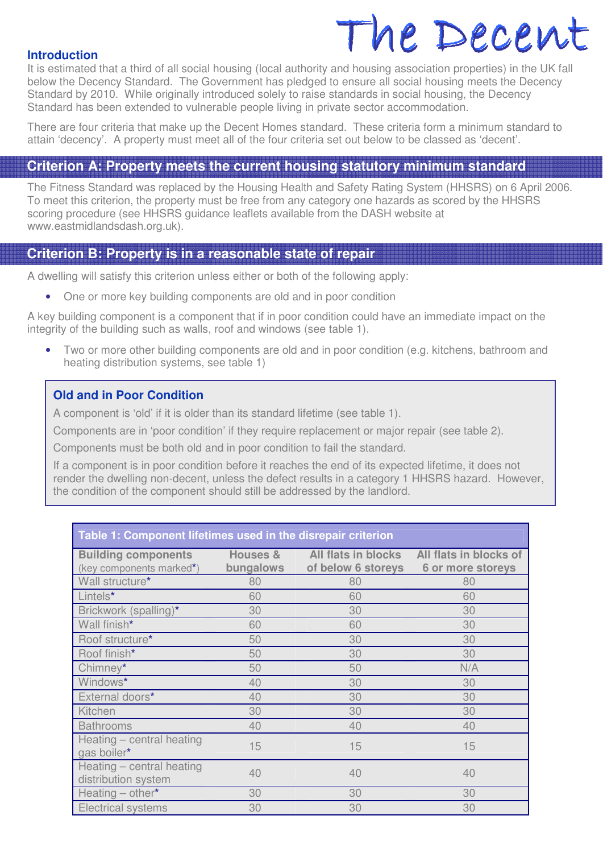## The Decent The Decent

### **Introduction**

It is estimated that a third of all social housing (local authority and housing association properties) in the UK fall below the Decency Standard. The Government has pledged to ensure all social housing meets the Decency Standard by 2010. While originally introduced solely to raise standards in social housing, the Decency Standard has been extended to vulnerable people living in private sector accommodation.

There are four criteria that make up the Decent Homes standard. These criteria form a minimum standard to attain 'decency'. A property must meet all of the four criteria set out below to be classed as 'decent'.

### **Criterion A: Property meets the current housing statutory minimum standard**

The Fitness Standard was replaced by the Housing Health and Safety Rating System (HHSRS) on 6 April 2006. To meet this criterion, the property must be free from any category one hazards as scored by the HHSRS scoring procedure (see HHSRS guidance leaflets available from the DASH website at www.eastmidlandsdash.org.uk).

### .<br>III **Criterion B: Property is in a reasonable state of repair**

A dwelling will satisfy this criterion unless either or both of the following apply:

• One or more key building components are old and in poor condition

A key building component is a component that if in poor condition could have an immediate impact on the integrity of the building such as walls, roof and windows (see table 1).

• Two or more other building components are old and in poor condition (e.g. kitchens, bathroom and heating distribution systems, see table 1)

### **Old and in Poor Condition**

A component is 'old' if it is older than its standard lifetime (see table 1).

Components are in 'poor condition' if they require replacement or major repair (see table 2).

Components must be both old and in poor condition to fail the standard.

If a component is in poor condition before it reaches the end of its expected lifetime, it does not render the dwelling non-decent, unless the defect results in a category 1 HHSRS hazard. However, the condition of the component should still be addressed by the landlord.

### **Table 1: Component lifetimes used in the disrepair criterion**

| <b>Building components</b>                       | Houses &  | All flats in blocks | All flats in blocks of |
|--------------------------------------------------|-----------|---------------------|------------------------|
| (key components marked*)                         | bungalows | of below 6 storeys  | 6 or more storeys      |
| Wall structure*                                  | 80        | 80                  | 80                     |
| Lintels*                                         | 60        | 60                  | 60                     |
| Brickwork (spalling)*                            | 30        | 30                  | 30                     |
| Wall finish*                                     | 60        | 60                  | 30                     |
| Roof structure*                                  | 50        | 30                  | 30                     |
| Roof finish*                                     | 50        | 30                  | 30                     |
| Chimney*                                         | 50        | 50                  | N/A                    |
| Windows*                                         | 40        | 30                  | 30                     |
| External doors*                                  | 40        | 30                  | 30                     |
| Kitchen                                          | 30        | 30                  | 30                     |
| <b>Bathrooms</b>                                 | 40        | 40                  | 40                     |
| Heating - central heating<br>gas boiler*         | 15        | 15                  | 15                     |
| Heating - central heating<br>distribution system | 40        | 40                  | 40                     |
| Heating $-$ other*                               | 30        | 30                  | 30                     |
| <b>Electrical systems</b>                        | 30        | 30                  | 30                     |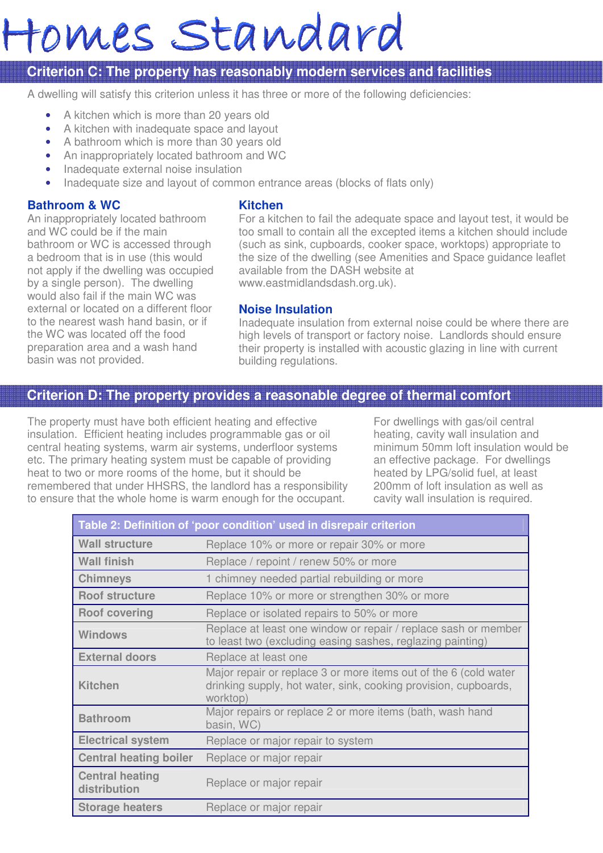# Homes Standard

### **Criterion C: The property has reasonably modern services and facilities**

A dwelling will satisfy this criterion unless it has three or more of the following deficiencies:

- A kitchen which is more than 20 years old
- A kitchen with inadequate space and layout
- A bathroom which is more than 30 years old
- An inappropriately located bathroom and WC
- Inadequate external noise insulation
- Inadequate size and layout of common entrance areas (blocks of flats only)

### **Bathroom & WC**

### **Kitchen**

An inappropriately located bathroom and WC could be if the main bathroom or WC is accessed through a bedroom that is in use (this would not apply if the dwelling was occupied by a single person). The dwelling would also fail if the main WC was external or located on a different floor to the nearest wash hand basin, or if the WC was located off the food preparation area and a wash hand basin was not provided.

For a kitchen to fail the adequate space and layout test, it would be too small to contain all the excepted items a kitchen should include (such as sink, cupboards, cooker space, worktops) appropriate to the size of the dwelling (see Amenities and Space guidance leaflet available from the DASH website at www.eastmidlandsdash.org.uk).

### **Noise Insulation**

Inadequate insulation from external noise could be where there are high levels of transport or factory noise. Landlords should ensure their property is installed with acoustic glazing in line with current building regulations.

### **Criterion D: The property provides a reasonable degree of thermal comfort**

The property must have both efficient heating and effective insulation. Efficient heating includes programmable gas or oil central heating systems, warm air systems, underfloor systems etc. The primary heating system must be capable of providing heat to two or more rooms of the home, but it should be remembered that under HHSRS, the landlord has a responsibility to ensure that the whole home is warm enough for the occupant.

For dwellings with gas/oil central heating, cavity wall insulation and minimum 50mm loft insulation would be an effective package. For dwellings heated by LPG/solid fuel, at least 200mm of loft insulation as well as cavity wall insulation is required.

| Table 2: Definition of 'poor condition' used in disrepair criterion |                                                                                                                                                 |  |  |
|---------------------------------------------------------------------|-------------------------------------------------------------------------------------------------------------------------------------------------|--|--|
| <b>Wall structure</b>                                               | Replace 10% or more or repair 30% or more                                                                                                       |  |  |
| <b>Wall finish</b>                                                  | Replace / repoint / renew 50% or more                                                                                                           |  |  |
| <b>Chimneys</b>                                                     | 1 chimney needed partial rebuilding or more                                                                                                     |  |  |
| <b>Roof structure</b>                                               | Replace 10% or more or strengthen 30% or more                                                                                                   |  |  |
| <b>Roof covering</b>                                                | Replace or isolated repairs to 50% or more                                                                                                      |  |  |
| Windows                                                             | Replace at least one window or repair / replace sash or member<br>to least two (excluding easing sashes, reglazing painting)                    |  |  |
| <b>External doors</b>                                               | Replace at least one                                                                                                                            |  |  |
| <b>Kitchen</b>                                                      | Major repair or replace 3 or more items out of the 6 (cold water<br>drinking supply, hot water, sink, cooking provision, cupboards,<br>worktop) |  |  |
| <b>Bathroom</b>                                                     | Major repairs or replace 2 or more items (bath, wash hand<br>basin, WC)                                                                         |  |  |
| <b>Electrical system</b>                                            | Replace or major repair to system                                                                                                               |  |  |
| <b>Central heating boiler</b>                                       | Replace or major repair                                                                                                                         |  |  |
| <b>Central heating</b><br>distribution                              | Replace or major repair                                                                                                                         |  |  |
| <b>Storage heaters</b>                                              | Replace or major repair                                                                                                                         |  |  |